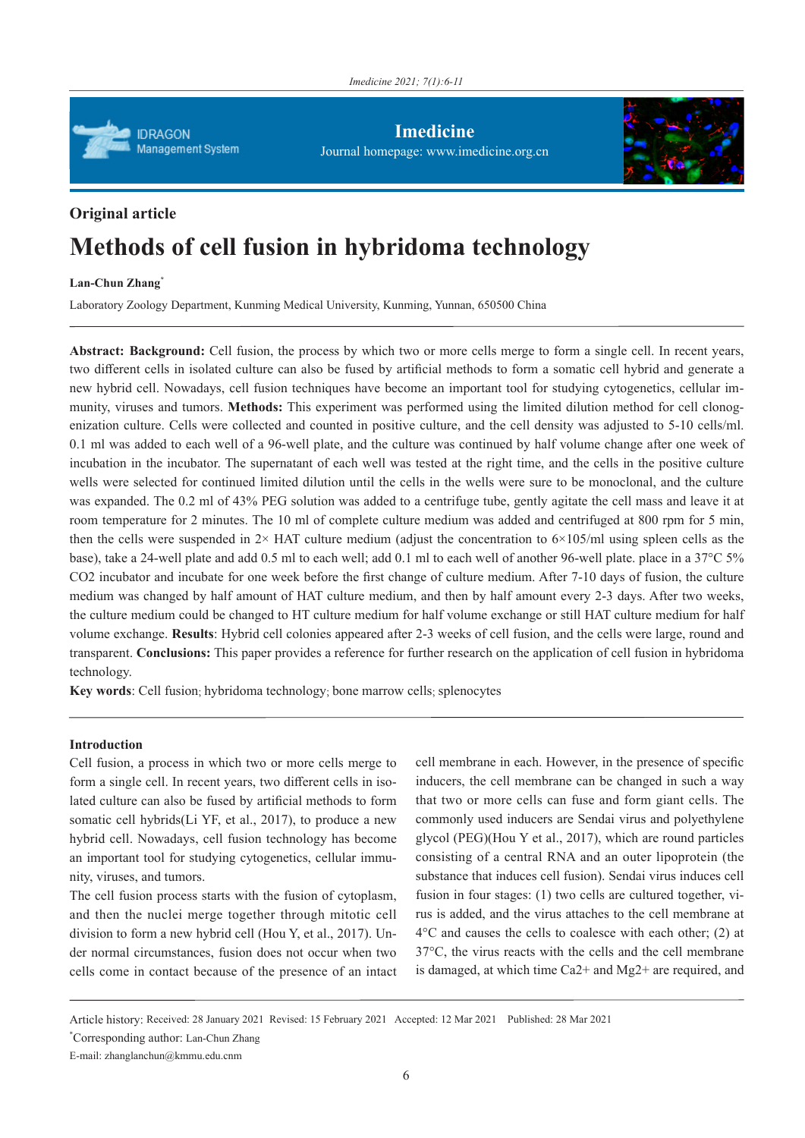

**Imedicine** Journal homepage: www.imedicine.org.cn



# **Original article Methods of cell fusion in hybridoma technology**

# **Lan-Chun Zhang\***

Laboratory Zoology Department, Kunming Medical University, Kunming, Yunnan, 650500 China

**Abstract: Background:** Cell fusion, the process by which two or more cells merge to form a single cell. In recent years, two different cells in isolated culture can also be fused by artificial methods to form a somatic cell hybrid and generate a new hybrid cell. Nowadays, cell fusion techniques have become an important tool for studying cytogenetics, cellular immunity, viruses and tumors. **Methods:** This experiment was performed using the limited dilution method for cell clonogenization culture. Cells were collected and counted in positive culture, and the cell density was adjusted to 5-10 cells/ml. 0.1 ml was added to each well of a 96-well plate, and the culture was continued by half volume change after one week of incubation in the incubator. The supernatant of each well was tested at the right time, and the cells in the positive culture wells were selected for continued limited dilution until the cells in the wells were sure to be monoclonal, and the culture was expanded. The 0.2 ml of 43% PEG solution was added to a centrifuge tube, gently agitate the cell mass and leave it at room temperature for 2 minutes. The 10 ml of complete culture medium was added and centrifuged at 800 rpm for 5 min, then the cells were suspended in  $2 \times HAT$  culture medium (adjust the concentration to  $6 \times 105$ /ml using spleen cells as the base), take a 24-well plate and add 0.5 ml to each well; add 0.1 ml to each well of another 96-well plate. place in a 37°C 5% CO2 incubator and incubate for one week before the first change of culture medium. After 7-10 days of fusion, the culture medium was changed by half amount of HAT culture medium, and then by half amount every 2-3 days. After two weeks, the culture medium could be changed to HT culture medium for half volume exchange or still HAT culture medium for half volume exchange. **Results**: Hybrid cell colonies appeared after 2-3 weeks of cell fusion, and the cells were large, round and transparent. **Conclusions:** This paper provides a reference for further research on the application of cell fusion in hybridoma technology.

**Key words**: Cell fusion; hybridoma technology; bone marrow cells; splenocytes

# **Introduction**

Cell fusion, a process in which two or more cells merge to form a single cell. In recent years, two different cells in isolated culture can also be fused by artificial methods to form somatic cell hybrids(Li YF, et al., 2017), to produce a new hybrid cell. Nowadays, cell fusion technology has become an important tool for studying cytogenetics, cellular immunity, viruses, and tumors.

The cell fusion process starts with the fusion of cytoplasm, and then the nuclei merge together through mitotic cell division to form a new hybrid cell (Hou Y, et al., 2017). Under normal circumstances, fusion does not occur when two cells come in contact because of the presence of an intact cell membrane in each. However, in the presence of specific inducers, the cell membrane can be changed in such a way that two or more cells can fuse and form giant cells. The commonly used inducers are Sendai virus and polyethylene glycol (PEG)(Hou Y et al., 2017), which are round particles consisting of a central RNA and an outer lipoprotein (the substance that induces cell fusion). Sendai virus induces cell fusion in four stages: (1) two cells are cultured together, virus is added, and the virus attaches to the cell membrane at 4°C and causes the cells to coalesce with each other; (2) at 37°C, the virus reacts with the cells and the cell membrane is damaged, at which time Ca2+ and Mg2+ are required, and

Article history: Received: 28 January 2021 Revised: 15 February 2021 Accepted: 12 Mar 2021 Published: 28 Mar 2021

\* Corresponding author: Lan-Chun Zhang

E-mail: zhanglanchun@kmmu.edu.cnm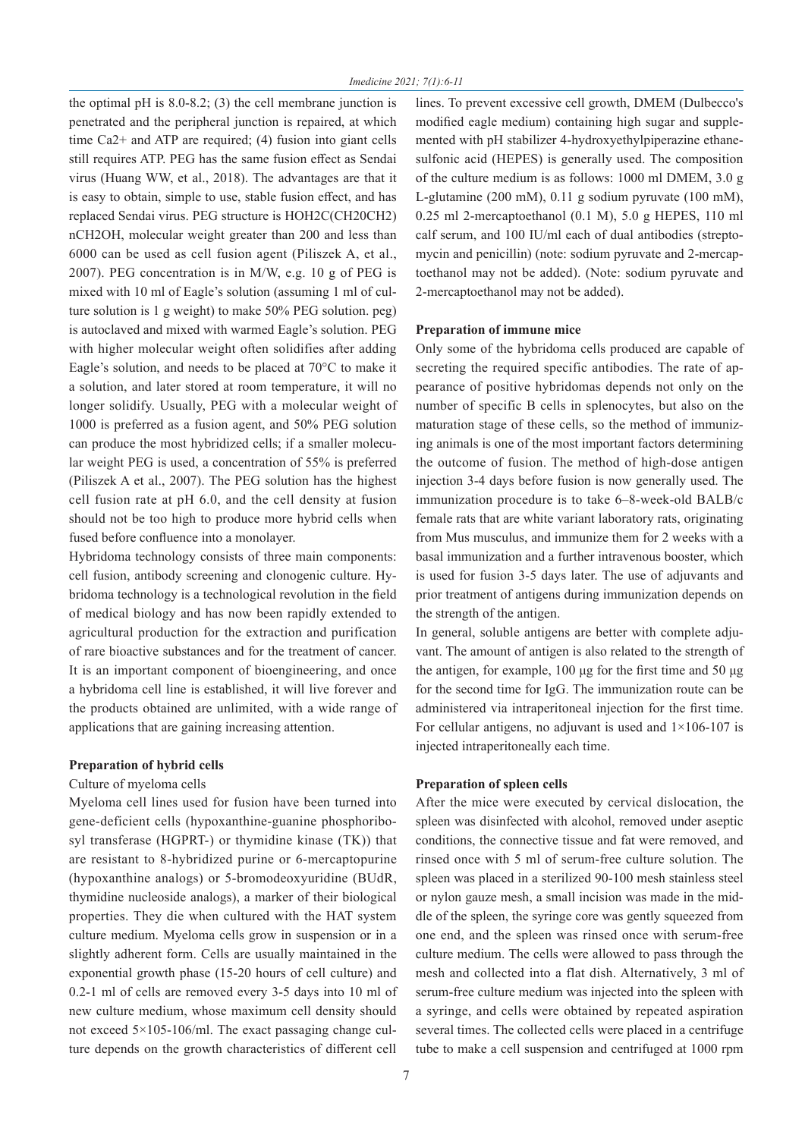the optimal pH is 8.0-8.2; (3) the cell membrane junction is penetrated and the peripheral junction is repaired, at which time Ca2+ and ATP are required; (4) fusion into giant cells still requires ATP. PEG has the same fusion effect as Sendai virus (Huang WW, et al., 2018). The advantages are that it is easy to obtain, simple to use, stable fusion effect, and has replaced Sendai virus. PEG structure is HOH2C(CH20CH2) nCH2OH, molecular weight greater than 200 and less than 6000 can be used as cell fusion agent (Piliszek A, et al., 2007). PEG concentration is in M/W, e.g. 10 g of PEG is mixed with 10 ml of Eagle's solution (assuming 1 ml of culture solution is 1 g weight) to make 50% PEG solution. peg) is autoclaved and mixed with warmed Eagle's solution. PEG with higher molecular weight often solidifies after adding Eagle's solution, and needs to be placed at 70°C to make it a solution, and later stored at room temperature, it will no longer solidify. Usually, PEG with a molecular weight of 1000 is preferred as a fusion agent, and 50% PEG solution can produce the most hybridized cells; if a smaller molecular weight PEG is used, a concentration of 55% is preferred (Piliszek A et al., 2007). The PEG solution has the highest cell fusion rate at pH 6.0, and the cell density at fusion should not be too high to produce more hybrid cells when fused before confluence into a monolayer.

Hybridoma technology consists of three main components: cell fusion, antibody screening and clonogenic culture. Hybridoma technology is a technological revolution in the field of medical biology and has now been rapidly extended to agricultural production for the extraction and purification of rare bioactive substances and for the treatment of cancer. It is an important component of bioengineering, and once a hybridoma cell line is established, it will live forever and the products obtained are unlimited, with a wide range of applications that are gaining increasing attention.

#### **Preparation of hybrid cells**

#### Culture of myeloma cells

Myeloma cell lines used for fusion have been turned into gene-deficient cells (hypoxanthine-guanine phosphoribosyl transferase (HGPRT-) or thymidine kinase (TK)) that are resistant to 8-hybridized purine or 6-mercaptopurine (hypoxanthine analogs) or 5-bromodeoxyuridine (BUdR, thymidine nucleoside analogs), a marker of their biological properties. They die when cultured with the HAT system culture medium. Myeloma cells grow in suspension or in a slightly adherent form. Cells are usually maintained in the exponential growth phase (15-20 hours of cell culture) and 0.2-1 ml of cells are removed every 3-5 days into 10 ml of new culture medium, whose maximum cell density should not exceed 5×105-106/ml. The exact passaging change culture depends on the growth characteristics of different cell

lines. To prevent excessive cell growth, DMEM (Dulbecco's modified eagle medium) containing high sugar and supplemented with pH stabilizer 4-hydroxyethylpiperazine ethanesulfonic acid (HEPES) is generally used. The composition of the culture medium is as follows: 1000 ml DMEM, 3.0 g L-glutamine (200 mM), 0.11 g sodium pyruvate (100 mM), 0.25 ml 2-mercaptoethanol (0.1 M), 5.0 g HEPES, 110 ml calf serum, and 100 IU/ml each of dual antibodies (streptomycin and penicillin) (note: sodium pyruvate and 2-mercaptoethanol may not be added). (Note: sodium pyruvate and 2-mercaptoethanol may not be added).

#### **Preparation of immune mice**

Only some of the hybridoma cells produced are capable of secreting the required specific antibodies. The rate of appearance of positive hybridomas depends not only on the number of specific B cells in splenocytes, but also on the maturation stage of these cells, so the method of immunizing animals is one of the most important factors determining the outcome of fusion. The method of high-dose antigen injection 3-4 days before fusion is now generally used. The immunization procedure is to take 6–8-week-old BALB/c female rats that are white variant laboratory rats, originating from Mus musculus, and immunize them for 2 weeks with a basal immunization and a further intravenous booster, which is used for fusion 3-5 days later. The use of adjuvants and prior treatment of antigens during immunization depends on the strength of the antigen.

In general, soluble antigens are better with complete adjuvant. The amount of antigen is also related to the strength of the antigen, for example, 100 μg for the first time and 50 μg for the second time for IgG. The immunization route can be administered via intraperitoneal injection for the first time. For cellular antigens, no adjuvant is used and  $1\times106-107$  is injected intraperitoneally each time.

#### **Preparation of spleen cells**

After the mice were executed by cervical dislocation, the spleen was disinfected with alcohol, removed under aseptic conditions, the connective tissue and fat were removed, and rinsed once with 5 ml of serum-free culture solution. The spleen was placed in a sterilized 90-100 mesh stainless steel or nylon gauze mesh, a small incision was made in the middle of the spleen, the syringe core was gently squeezed from one end, and the spleen was rinsed once with serum-free culture medium. The cells were allowed to pass through the mesh and collected into a flat dish. Alternatively, 3 ml of serum-free culture medium was injected into the spleen with a syringe, and cells were obtained by repeated aspiration several times. The collected cells were placed in a centrifuge tube to make a cell suspension and centrifuged at 1000 rpm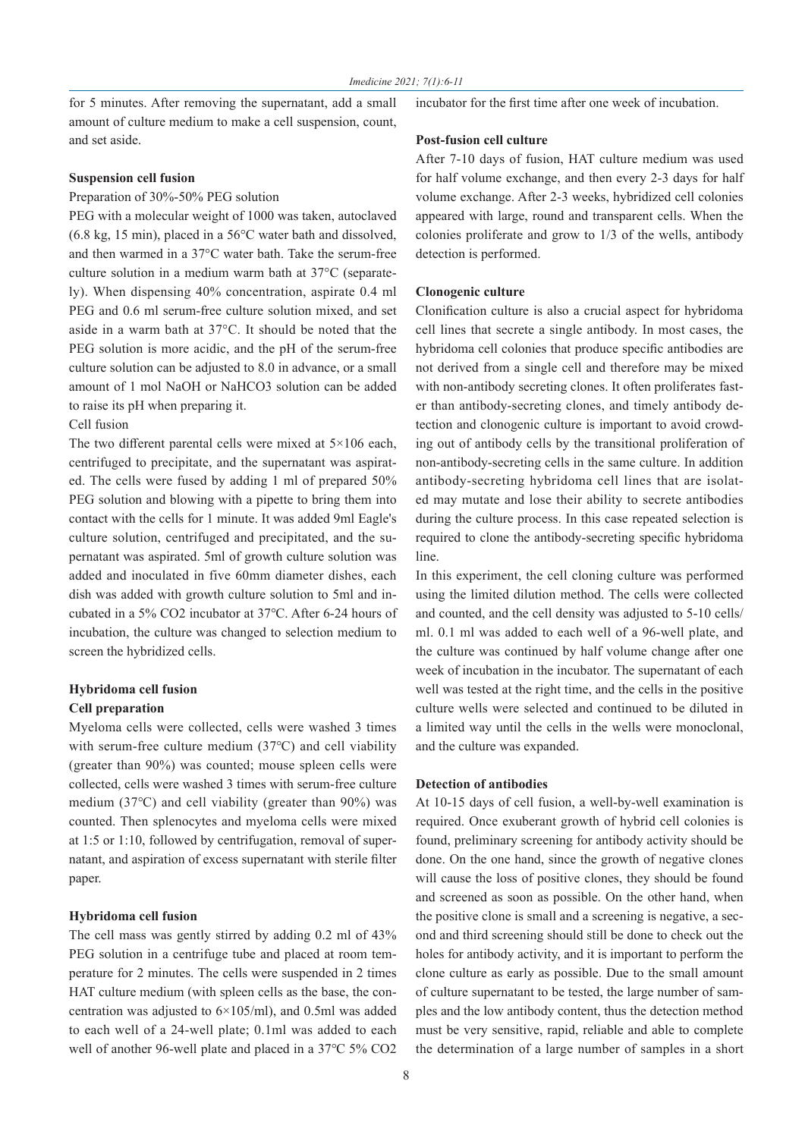for 5 minutes. After removing the supernatant, add a small amount of culture medium to make a cell suspension, count, and set aside.

# **Post-fusion cell culture**

#### **Suspension cell fusion**

#### Preparation of 30%-50% PEG solution

PEG with a molecular weight of 1000 was taken, autoclaved (6.8 kg, 15 min), placed in a 56°C water bath and dissolved, and then warmed in a 37°C water bath. Take the serum-free culture solution in a medium warm bath at 37°C (separately). When dispensing 40% concentration, aspirate 0.4 ml PEG and 0.6 ml serum-free culture solution mixed, and set aside in a warm bath at 37°C. It should be noted that the PEG solution is more acidic, and the pH of the serum-free culture solution can be adjusted to 8.0 in advance, or a small amount of 1 mol NaOH or NaHCO3 solution can be added to raise its pH when preparing it.

# Cell fusion

The two different parental cells were mixed at  $5\times106$  each, centrifuged to precipitate, and the supernatant was aspirated. The cells were fused by adding 1 ml of prepared 50% PEG solution and blowing with a pipette to bring them into contact with the cells for 1 minute. It was added 9ml Eagle's culture solution, centrifuged and precipitated, and the supernatant was aspirated. 5ml of growth culture solution was added and inoculated in five 60mm diameter dishes, each dish was added with growth culture solution to 5ml and incubated in a 5% CO2 incubator at 37℃. After 6-24 hours of incubation, the culture was changed to selection medium to screen the hybridized cells.

# **Hybridoma cell fusion Cell preparation**

Myeloma cells were collected, cells were washed 3 times with serum-free culture medium (37℃) and cell viability (greater than 90%) was counted; mouse spleen cells were collected, cells were washed 3 times with serum-free culture medium (37℃) and cell viability (greater than 90%) was counted. Then splenocytes and myeloma cells were mixed at 1:5 or 1:10, followed by centrifugation, removal of supernatant, and aspiration of excess supernatant with sterile filter paper.

#### **Hybridoma cell fusion**

The cell mass was gently stirred by adding 0.2 ml of 43% PEG solution in a centrifuge tube and placed at room temperature for 2 minutes. The cells were suspended in 2 times HAT culture medium (with spleen cells as the base, the concentration was adjusted to 6×105/ml), and 0.5ml was added to each well of a 24-well plate; 0.1ml was added to each well of another 96-well plate and placed in a 37℃ 5% CO2 After 7-10 days of fusion, HAT culture medium was used for half volume exchange, and then every 2-3 days for half volume exchange. After 2-3 weeks, hybridized cell colonies appeared with large, round and transparent cells. When the colonies proliferate and grow to 1/3 of the wells, antibody detection is performed.

incubator for the first time after one week of incubation.

#### **Clonogenic culture**

Clonification culture is also a crucial aspect for hybridoma cell lines that secrete a single antibody. In most cases, the hybridoma cell colonies that produce specific antibodies are not derived from a single cell and therefore may be mixed with non-antibody secreting clones. It often proliferates faster than antibody-secreting clones, and timely antibody detection and clonogenic culture is important to avoid crowding out of antibody cells by the transitional proliferation of non-antibody-secreting cells in the same culture. In addition antibody-secreting hybridoma cell lines that are isolated may mutate and lose their ability to secrete antibodies during the culture process. In this case repeated selection is required to clone the antibody-secreting specific hybridoma line.

In this experiment, the cell cloning culture was performed using the limited dilution method. The cells were collected and counted, and the cell density was adjusted to 5-10 cells/ ml. 0.1 ml was added to each well of a 96-well plate, and the culture was continued by half volume change after one week of incubation in the incubator. The supernatant of each well was tested at the right time, and the cells in the positive culture wells were selected and continued to be diluted in a limited way until the cells in the wells were monoclonal, and the culture was expanded.

#### **Detection of antibodies**

At 10-15 days of cell fusion, a well-by-well examination is required. Once exuberant growth of hybrid cell colonies is found, preliminary screening for antibody activity should be done. On the one hand, since the growth of negative clones will cause the loss of positive clones, they should be found and screened as soon as possible. On the other hand, when the positive clone is small and a screening is negative, a second and third screening should still be done to check out the holes for antibody activity, and it is important to perform the clone culture as early as possible. Due to the small amount of culture supernatant to be tested, the large number of samples and the low antibody content, thus the detection method must be very sensitive, rapid, reliable and able to complete the determination of a large number of samples in a short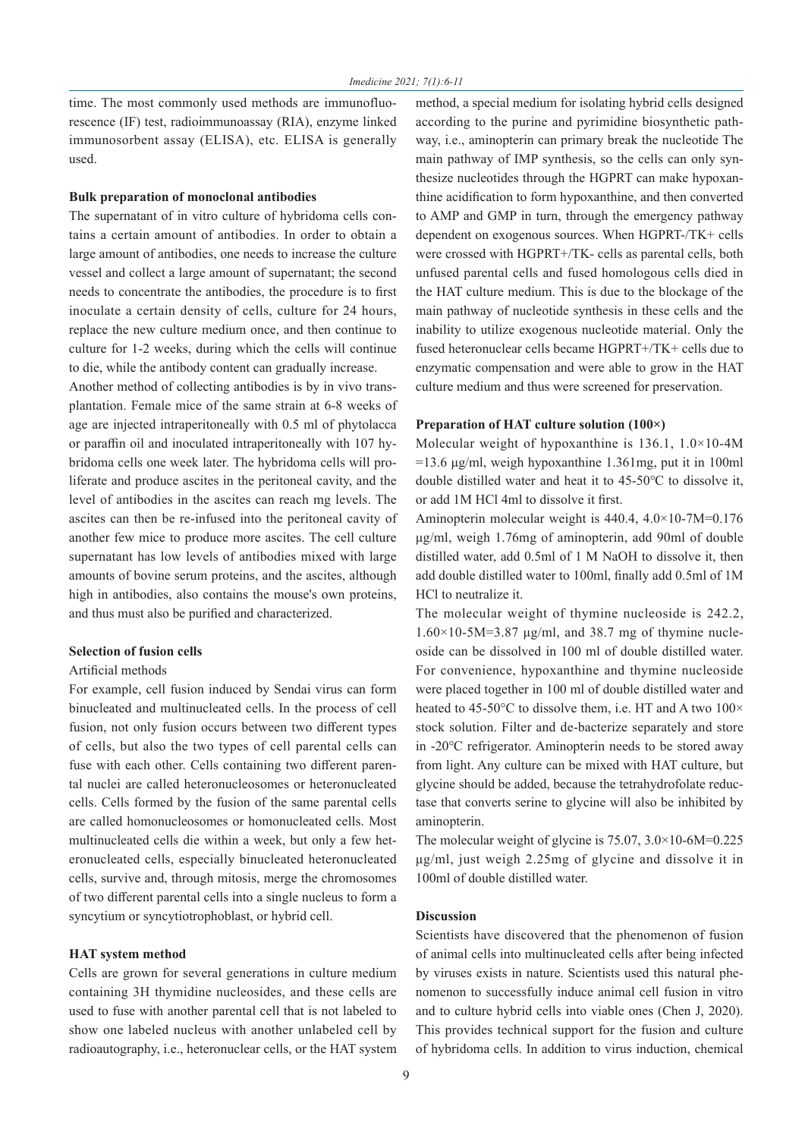time. The most commonly used methods are immunofluorescence (IF) test, radioimmunoassay (RIA), enzyme linked immunosorbent assay (ELISA), etc. ELISA is generally used.

#### **Bulk preparation of monoclonal antibodies**

The supernatant of in vitro culture of hybridoma cells contains a certain amount of antibodies. In order to obtain a large amount of antibodies, one needs to increase the culture vessel and collect a large amount of supernatant; the second needs to concentrate the antibodies, the procedure is to first inoculate a certain density of cells, culture for 24 hours, replace the new culture medium once, and then continue to culture for 1-2 weeks, during which the cells will continue to die, while the antibody content can gradually increase.

Another method of collecting antibodies is by in vivo transplantation. Female mice of the same strain at 6-8 weeks of age are injected intraperitoneally with 0.5 ml of phytolacca or paraffin oil and inoculated intraperitoneally with 107 hybridoma cells one week later. The hybridoma cells will proliferate and produce ascites in the peritoneal cavity, and the level of antibodies in the ascites can reach mg levels. The ascites can then be re-infused into the peritoneal cavity of another few mice to produce more ascites. The cell culture supernatant has low levels of antibodies mixed with large amounts of bovine serum proteins, and the ascites, although high in antibodies, also contains the mouse's own proteins, and thus must also be purified and characterized.

#### **Selection of fusion cells**

#### Artificial methods

For example, cell fusion induced by Sendai virus can form binucleated and multinucleated cells. In the process of cell fusion, not only fusion occurs between two different types of cells, but also the two types of cell parental cells can fuse with each other. Cells containing two different parental nuclei are called heteronucleosomes or heteronucleated cells. Cells formed by the fusion of the same parental cells are called homonucleosomes or homonucleated cells. Most multinucleated cells die within a week, but only a few heteronucleated cells, especially binucleated heteronucleated cells, survive and, through mitosis, merge the chromosomes of two different parental cells into a single nucleus to form a syncytium or syncytiotrophoblast, or hybrid cell.

# **HAT system method**

Cells are grown for several generations in culture medium containing 3H thymidine nucleosides, and these cells are used to fuse with another parental cell that is not labeled to show one labeled nucleus with another unlabeled cell by radioautography, i.e., heteronuclear cells, or the HAT system method, a special medium for isolating hybrid cells designed according to the purine and pyrimidine biosynthetic pathway, i.e., aminopterin can primary break the nucleotide The main pathway of IMP synthesis, so the cells can only synthesize nucleotides through the HGPRT can make hypoxanthine acidification to form hypoxanthine, and then converted to AMP and GMP in turn, through the emergency pathway dependent on exogenous sources. When HGPRT-/TK+ cells were crossed with HGPRT+/TK- cells as parental cells, both unfused parental cells and fused homologous cells died in the HAT culture medium. This is due to the blockage of the main pathway of nucleotide synthesis in these cells and the inability to utilize exogenous nucleotide material. Only the fused heteronuclear cells became HGPRT+/TK+ cells due to enzymatic compensation and were able to grow in the HAT culture medium and thus were screened for preservation.

# **Preparation of HAT culture solution (100×)**

Molecular weight of hypoxanthine is 136.1, 1.0×10-4M  $=13.6$  μg/ml, weigh hypoxanthine 1.361mg, put it in 100ml double distilled water and heat it to 45-50℃ to dissolve it, or add 1M HCl 4ml to dissolve it first.

Aminopterin molecular weight is 440.4, 4.0×10-7M=0.176 μg/ml, weigh 1.76mg of aminopterin, add 90ml of double distilled water, add 0.5ml of 1 M NaOH to dissolve it, then add double distilled water to 100ml, finally add 0.5ml of 1M HCl to neutralize it.

The molecular weight of thymine nucleoside is 242.2,  $1.60\times10-5M=3.87$  μg/ml, and 38.7 mg of thymine nucleoside can be dissolved in 100 ml of double distilled water. For convenience, hypoxanthine and thymine nucleoside were placed together in 100 ml of double distilled water and heated to 45-50°C to dissolve them, i.e. HT and A two 100× stock solution. Filter and de-bacterize separately and store in -20℃ refrigerator. Aminopterin needs to be stored away from light. Any culture can be mixed with HAT culture, but glycine should be added, because the tetrahydrofolate reductase that converts serine to glycine will also be inhibited by aminopterin.

The molecular weight of glycine is  $75.07$ ,  $3.0 \times 10$ -6M=0.225 μg/ml, just weigh 2.25mg of glycine and dissolve it in 100ml of double distilled water.

# **Discussion**

Scientists have discovered that the phenomenon of fusion of animal cells into multinucleated cells after being infected by viruses exists in nature. Scientists used this natural phenomenon to successfully induce animal cell fusion in vitro and to culture hybrid cells into viable ones (Chen J, 2020). This provides technical support for the fusion and culture of hybridoma cells. In addition to virus induction, chemical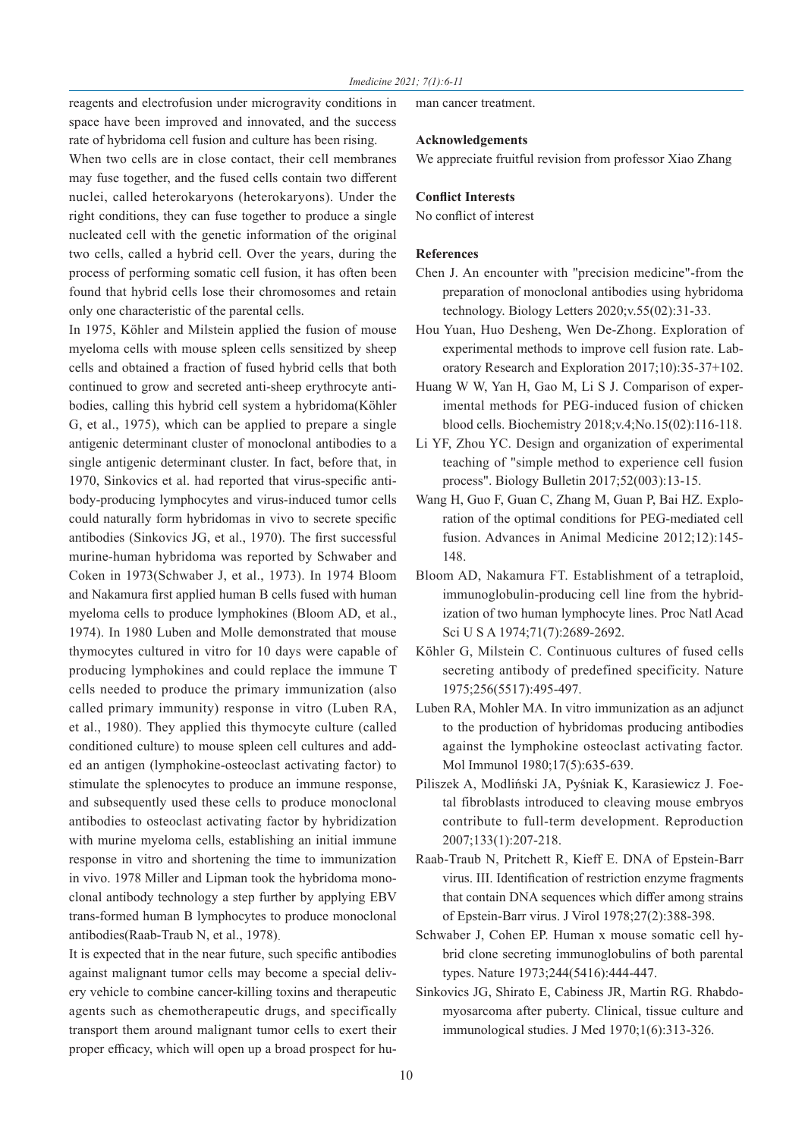reagents and electrofusion under microgravity conditions in space have been improved and innovated, and the success rate of hybridoma cell fusion and culture has been rising.

When two cells are in close contact, their cell membranes may fuse together, and the fused cells contain two different nuclei, called heterokaryons (heterokaryons). Under the right conditions, they can fuse together to produce a single nucleated cell with the genetic information of the original two cells, called a hybrid cell. Over the years, during the process of performing somatic cell fusion, it has often been found that hybrid cells lose their chromosomes and retain only one characteristic of the parental cells.

In 1975, Köhler and Milstein applied the fusion of mouse myeloma cells with mouse spleen cells sensitized by sheep cells and obtained a fraction of fused hybrid cells that both continued to grow and secreted anti-sheep erythrocyte antibodies, calling this hybrid cell system a hybridoma(Köhler G, et al., 1975), which can be applied to prepare a single antigenic determinant cluster of monoclonal antibodies to a single antigenic determinant cluster. In fact, before that, in 1970, Sinkovics et al. had reported that virus-specific antibody-producing lymphocytes and virus-induced tumor cells could naturally form hybridomas in vivo to secrete specific antibodies (Sinkovics JG, et al., 1970). The first successful murine-human hybridoma was reported by Schwaber and Coken in 1973(Schwaber J, et al., 1973). In 1974 Bloom and Nakamura first applied human B cells fused with human myeloma cells to produce lymphokines (Bloom AD, et al., 1974). In 1980 Luben and Molle demonstrated that mouse thymocytes cultured in vitro for 10 days were capable of producing lymphokines and could replace the immune T cells needed to produce the primary immunization (also called primary immunity) response in vitro (Luben RA, et al., 1980). They applied this thymocyte culture (called conditioned culture) to mouse spleen cell cultures and added an antigen (lymphokine-osteoclast activating factor) to stimulate the splenocytes to produce an immune response, and subsequently used these cells to produce monoclonal antibodies to osteoclast activating factor by hybridization with murine myeloma cells, establishing an initial immune response in vitro and shortening the time to immunization in vivo. 1978 Miller and Lipman took the hybridoma monoclonal antibody technology a step further by applying EBV trans-formed human B lymphocytes to produce monoclonal antibodies(Raab-Traub N, et al., 1978).

It is expected that in the near future, such specific antibodies against malignant tumor cells may become a special delivery vehicle to combine cancer-killing toxins and therapeutic agents such as chemotherapeutic drugs, and specifically transport them around malignant tumor cells to exert their proper efficacy, which will open up a broad prospect for human cancer treatment.

# **Acknowledgements**

We appreciate fruitful revision from professor Xiao Zhang

# **Conflict Interests**

No conflict of interest

# **References**

- Chen J. An encounter with "precision medicine"-from the preparation of monoclonal antibodies using hybridoma technology. Biology Letters 2020;v.55(02):31-33.
- Hou Yuan, Huo Desheng, Wen De-Zhong. Exploration of experimental methods to improve cell fusion rate. Laboratory Research and Exploration 2017;10):35-37+102.
- Huang W W, Yan H, Gao M, Li S J. Comparison of experimental methods for PEG-induced fusion of chicken blood cells. Biochemistry 2018;v.4;No.15(02):116-118.
- Li YF, Zhou YC. Design and organization of experimental teaching of "simple method to experience cell fusion process". Biology Bulletin 2017;52(003):13-15.
- Wang H, Guo F, Guan C, Zhang M, Guan P, Bai HZ. Exploration of the optimal conditions for PEG-mediated cell fusion. Advances in Animal Medicine 2012;12):145- 148.
- Bloom AD, Nakamura FT. Establishment of a tetraploid, immunoglobulin-producing cell line from the hybridization of two human lymphocyte lines. Proc Natl Acad Sci U S A 1974;71(7):2689-2692.
- Köhler G, Milstein C. Continuous cultures of fused cells secreting antibody of predefined specificity. Nature 1975;256(5517):495-497.
- Luben RA, Mohler MA. In vitro immunization as an adjunct to the production of hybridomas producing antibodies against the lymphokine osteoclast activating factor. Mol Immunol 1980;17(5):635-639.
- Piliszek A, Modliński JA, Pyśniak K, Karasiewicz J. Foetal fibroblasts introduced to cleaving mouse embryos contribute to full-term development. Reproduction 2007;133(1):207-218.
- Raab-Traub N, Pritchett R, Kieff E. DNA of Epstein-Barr virus. III. Identification of restriction enzyme fragments that contain DNA sequences which differ among strains of Epstein-Barr virus. J Virol 1978;27(2):388-398.
- Schwaber J, Cohen EP. Human x mouse somatic cell hybrid clone secreting immunoglobulins of both parental types. Nature 1973;244(5416):444-447.
- Sinkovics JG, Shirato E, Cabiness JR, Martin RG. Rhabdomyosarcoma after puberty. Clinical, tissue culture and immunological studies. J Med 1970;1(6):313-326.